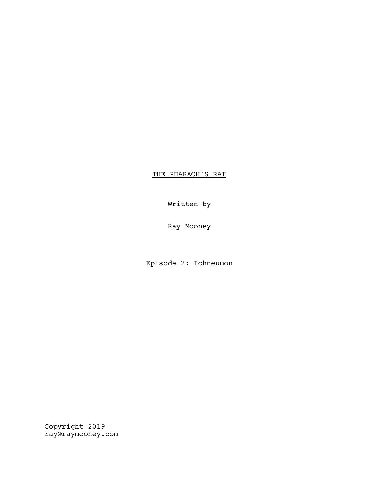THE PHARAOH'S RAT

Written by

Ray Mooney

Episode 2: Ichneumon

Copyright 2019 ray@raymooney.com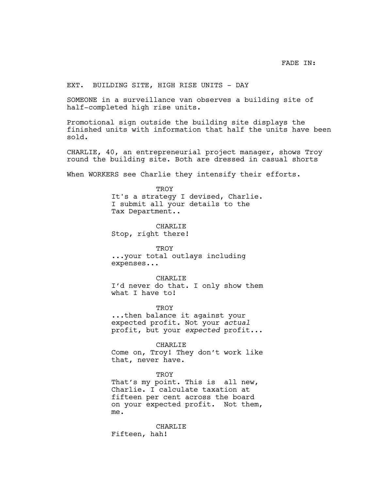FADE IN:

EXT. BUILDING SITE, HIGH RISE UNITS - DAY

SOMEONE in a surveillance van observes a building site of half-completed high rise units.

Promotional sign outside the building site displays the finished units with information that half the units have been sold.

CHARLIE, 40, an entrepreneurial project manager, shows Troy round the building site. Both are dressed in casual shorts

When WORKERS see Charlie they intensify their efforts.

TROY It's a strategy I devised, Charlie. I submit all your details to the Tax Department..

CHARLIE Stop, right there!

**TROY** ...your total outlays including expenses...

CHARLIE I'd never do that. I only show them what I have to!

TROY ...then balance it against your expected profit. Not your actual profit, but your expected profit...

CHARLIE Come on, Troy! They don't work like that, never have.

**TROY** That's my point. This is all new, Charlie. I calculate taxation at fifteen per cent across the board on your expected profit. Not them, me.

CHARLIE Fifteen, hah!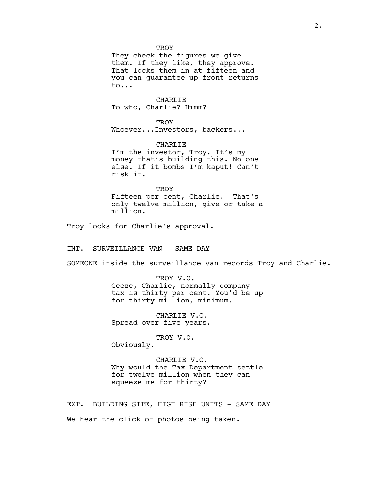**TROY** They check the figures we give them. If they like, they approve. That locks them in at fifteen and you can guarantee up front returns to...

CHARLIE To who, Charlie? Hmmm?

**TROY** Whoever...Investors, backers...

CHARLIE I'm the investor, Troy. It's my money that's building this. No one else. If it bombs I'm kaput! Can't risk it.

**TROY** Fifteen per cent, Charlie. That's only twelve million, give or take a million.

Troy looks for Charlie's approval.

INT. SURVEILLANCE VAN - SAME DAY

SOMEONE inside the surveillance van records Troy and Charlie.

TROY V.O. Geeze, Charlie, normally company tax is thirty per cent. You'd be up for thirty million, minimum.

CHARLIE V.O. Spread over five years.

TROY V.O.

Obviously.

CHARLIE V.O. Why would the Tax Department settle for twelve million when they can squeeze me for thirty?

EXT. BUILDING SITE, HIGH RISE UNITS - SAME DAY We hear the click of photos being taken.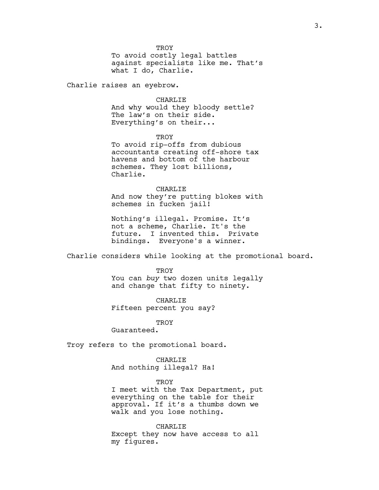TROY

To avoid costly legal battles against specialists like me. That's what I do, Charlie.

Charlie raises an eyebrow.

### CHARLIE

And why would they bloody settle? The law's on their side. Everything's on their...

**TROY** 

To avoid rip-offs from dubious accountants creating off-shore tax havens and bottom of the harbour schemes. They lost billions, Charlie.

## CHARLIE

And now they're putting blokes with schemes in fucken jail!

Nothing's illegal. Promise. It's not a scheme, Charlie. It's the future. I invented this. Private bindings. Everyone's a winner.

Charlie considers while looking at the promotional board.

### TROY

You can buy two dozen units legally and change that fifty to ninety.

CHARLIE Fifteen percent you say?

**TROY** 

Guaranteed.

Troy refers to the promotional board.

CHARLIE And nothing illegal? Ha!

**TROY** I meet with the Tax Department, put everything on the table for their approval. If it's a thumbs down we walk and you lose nothing.

CHARLIE Except they now have access to all my figures.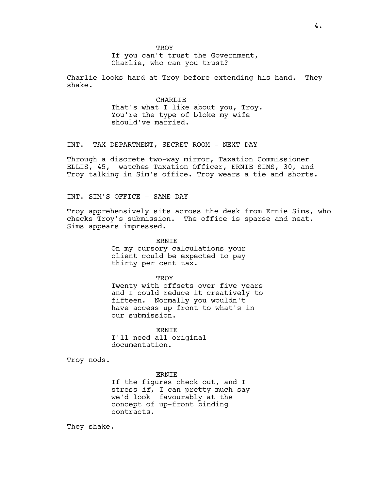TROY

If you can't trust the Government, Charlie, who can you trust?

Charlie looks hard at Troy before extending his hand. They shake.

> CHARLIE That's what I like about you, Troy. You're the type of bloke my wife should've married.

INT. TAX DEPARTMENT, SECRET ROOM - NEXT DAY

Through a discrete two-way mirror, Taxation Commissioner ELLIS, 45, watches Taxation Officer, ERNIE SIMS, 30, and Troy talking in Sim's office. Troy wears a tie and shorts.

INT. SIM'S OFFICE - SAME DAY

Troy apprehensively sits across the desk from Ernie Sims, who checks Troy's submission. The office is sparse and neat. Sims appears impressed.

> ERNIE On my cursory calculations your client could be expected to pay thirty per cent tax.

**TROY** Twenty with offsets over five years and I could reduce it creatively to fifteen. Normally you wouldn't have access up front to what's in our submission.

ERNIE I'll need all original documentation.

Troy nods.

ERNIE

If the figures check out, and I stress *if*, I can pretty much say we'd look favourably at the concept of up-front binding contracts.

They shake.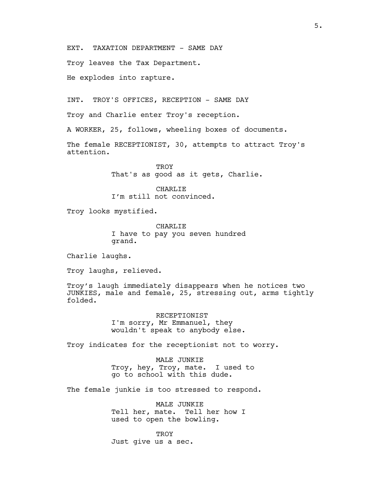EXT. TAXATION DEPARTMENT - SAME DAY

Troy leaves the Tax Department.

He explodes into rapture.

INT. TROY'S OFFICES, RECEPTION - SAME DAY

Troy and Charlie enter Troy's reception.

A WORKER, 25, follows, wheeling boxes of documents.

The female RECEPTIONIST, 30, attempts to attract Troy's attention.

> **TROY** That's as good as it gets, Charlie.

CHARLIE I'm still not convinced.

Troy looks mystified.

CHARLIE I have to pay you seven hundred grand.

Charlie laughs.

Troy laughs, relieved.

Troy's laugh immediately disappears when he notices two JUNKIES, male and female, 25, stressing out, arms tightly folded.

> RECEPTIONIST I'm sorry, Mr Emmanuel, they wouldn't speak to anybody else.

Troy indicates for the receptionist not to worry.

MALE JUNKIE Troy, hey, Troy, mate. I used to go to school with this dude.

The female junkie is too stressed to respond.

MALE JUNKIE Tell her, mate. Tell her how I used to open the bowling.

**TROY** Just give us a sec.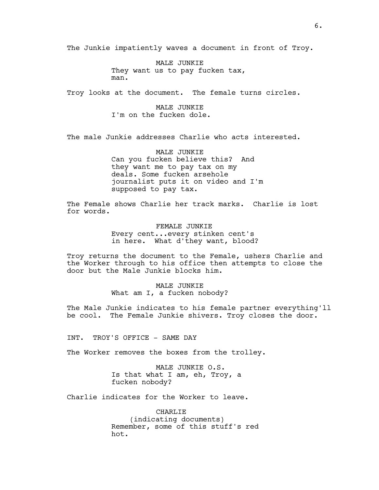The Junkie impatiently waves a document in front of Troy.

MALE JUNKIE They want us to pay fucken tax, man.

Troy looks at the document. The female turns circles.

MALE JUNKIE I'm on the fucken dole.

The male Junkie addresses Charlie who acts interested.

MALE JUNKIE Can you fucken believe this? And they want me to pay tax on my deals. Some fucken arsehole journalist puts it on video and I'm supposed to pay tax.

The Female shows Charlie her track marks. Charlie is lost for words.

> FEMALE JUNKIE Every cent...every stinken cent's in here. What d'they want, blood?

Troy returns the document to the Female, ushers Charlie and the Worker through to his office then attempts to close the door but the Male Junkie blocks him.

> MALE JUNKIE What am I, a fucken nobody?

The Male Junkie indicates to his female partner everything'll be cool. The Female Junkie shivers. Troy closes the door.

INT. TROY'S OFFICE - SAME DAY

The Worker removes the boxes from the trolley.

MALE JUNKIE O.S. Is that what I am, eh, Troy, a fucken nobody?

Charlie indicates for the Worker to leave.

CHARLIE (indicating documents) Remember, some of this stuff's red hot.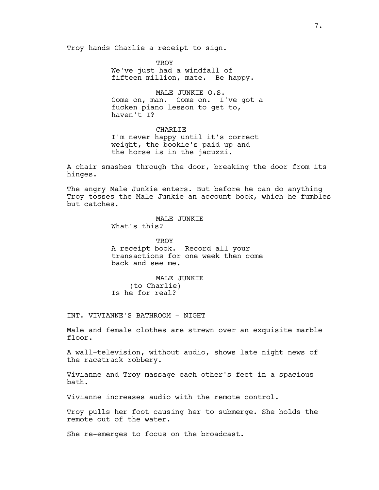Troy hands Charlie a receipt to sign.

**TROY** We've just had a windfall of fifteen million, mate. Be happy.

MALE JUNKIE O.S. Come on, man. Come on. I've got a fucken piano lesson to get to, haven't I?

CHARLIE I'm never happy until it's correct weight, the bookie's paid up and the horse is in the jacuzzi.

A chair smashes through the door, breaking the door from its hinges.

The angry Male Junkie enters. But before he can do anything Troy tosses the Male Junkie an account book, which he fumbles but catches.

> MALE JUNKIE What's this?

TROY A receipt book. Record all your transactions for one week then come back and see me.

MALE JUNKIE (to Charlie) Is he for real?

INT. VIVIANNE'S BATHROOM - NIGHT

Male and female clothes are strewn over an exquisite marble floor.

A wall-television, without audio, shows late night news of the racetrack robbery.

Vivianne and Troy massage each other's feet in a spacious bath.

Vivianne increases audio with the remote control.

Troy pulls her foot causing her to submerge. She holds the remote out of the water.

She re-emerges to focus on the broadcast.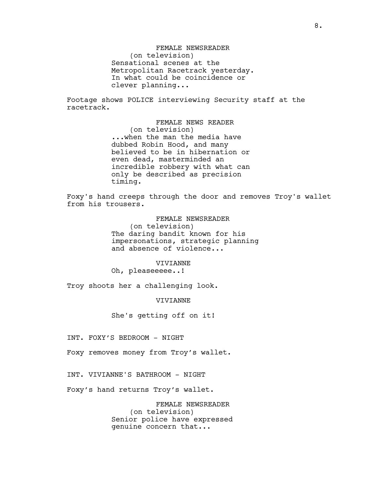FEMALE NEWSREADER (on television) Sensational scenes at the Metropolitan Racetrack yesterday. In what could be coincidence or clever planning...

Footage shows POLICE interviewing Security staff at the racetrack.

> FEMALE NEWS READER (on television) ...when the man the media have dubbed Robin Hood, and many believed to be in hibernation or even dead, masterminded an incredible robbery with what can only be described as precision timing.

Foxy's hand creeps through the door and removes Troy's wallet from his trousers.

> FEMALE NEWSREADER (on television) The daring bandit known for his impersonations, strategic planning and absence of violence...

> > VIVIANNE

Oh, pleaseeeee..!

Troy shoots her a challenging look.

VIVIANNE

She's getting off on it!

INT. FOXY'S BEDROOM - NIGHT

Foxy removes money from Troy's wallet.

INT. VIVIANNE'S BATHROOM - NIGHT

Foxy's hand returns Troy's wallet.

FEMALE NEWSREADER (on television) Senior police have expressed genuine concern that...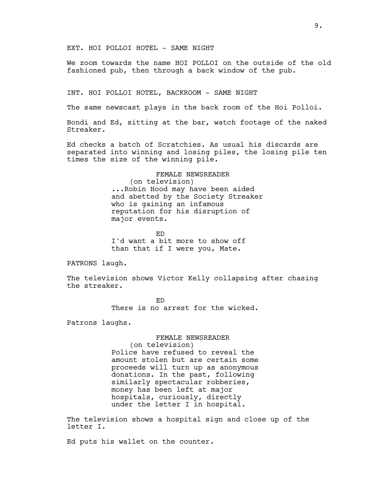EXT. HOI POLLOI HOTEL - SAME NIGHT

We zoom towards the name HOI POLLOI on the outside of the old fashioned pub, then through a back window of the pub.

INT. HOI POLLOI HOTEL, BACKROOM - SAME NIGHT

The same newscast plays in the back room of the Hoi Polloi.

Bondi and Ed, sitting at the bar, watch footage of the naked Streaker.

Ed checks a batch of Scratchies. As usual his discards are separated into winning and losing piles, the losing pile ten times the size of the winning pile.

> FEMALE NEWSREADER (on television) ...Robin Hood may have been aided and abetted by the Society Streaker who is gaining an infamous reputation for his disruption of major events.

ED I'd want a bit more to show off than that if I were you, Mate.

PATRONS laugh.

The television shows Victor Kelly collapsing after chasing the streaker.

> ED There is no arrest for the wicked.

Patrons laughs.

FEMALE NEWSREADER (on television) Police have refused to reveal the amount stolen but are certain some proceeds will turn up as anonymous donations. In the past, following similarly spectacular robberies, money has been left at major hospitals, curiously, directly under the letter I in hospital.

The television shows a hospital sign and close up of the letter I.

Ed puts his wallet on the counter.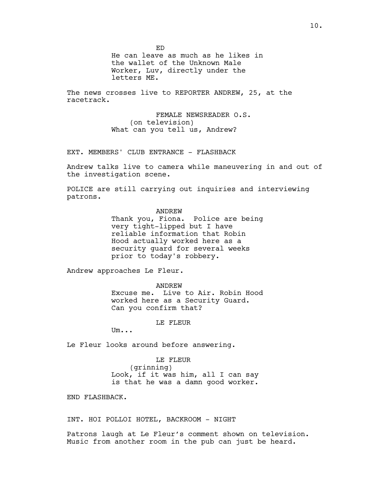ED

He can leave as much as he likes in the wallet of the Unknown Male Worker, Luv, directly under the letters ME.

The news crosses live to REPORTER ANDREW, 25, at the racetrack.

> FEMALE NEWSREADER O.S. (on television) What can you tell us, Andrew?

EXT. MEMBERS' CLUB ENTRANCE - FLASHBACK

Andrew talks live to camera while maneuvering in and out of the investigation scene.

POLICE are still carrying out inquiries and interviewing patrons.

ANDREW

Thank you, Fiona. Police are being very tight-lipped but I have reliable information that Robin Hood actually worked here as a security guard for several weeks prior to today's robbery.

Andrew approaches Le Fleur.

ANDREW

Excuse me. Live to Air. Robin Hood worked here as a Security Guard. Can you confirm that?

LE FLEUR

Um...

Le Fleur looks around before answering.

LE FLEUR

(grinning) Look, if it was him, all I can say is that he was a damn good worker.

END FLASHBACK.

INT. HOI POLLOI HOTEL, BACKROOM - NIGHT

Patrons laugh at Le Fleur's comment shown on television. Music from another room in the pub can just be heard.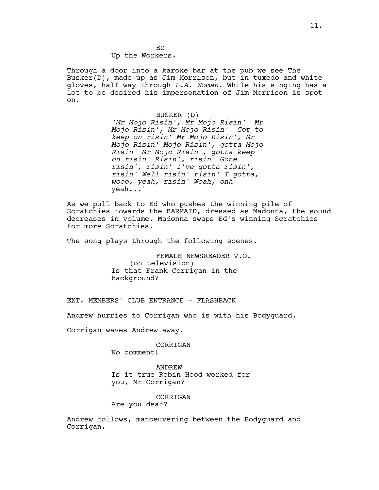ED Up the Workers.

Through a door into a karoke bar at the pub we see The Busker(D), made-up as Jim Morrison, but in tuxedo and white gloves, half way through L.A. Woman. While his singing has a lot to be desired his impersonation of Jim Morrison is spot on.

> BUSKER (D) 'Mr Mojo Risin', Mr Mojo Risin' Mr Mojo Risin', Mr Mojo Risin' Got to keep on risin' Mr Mojo Risin', Mr Mojo Risin' Mojo Risin', gotta Mojo Risin' Mr Mojo Risin', gotta keep on risin' Risin', risin' Gone risin', risin' I've gotta risin', risin' Well risin' risin' I gotta, wooo, yeah, risin' Woah, ohh yeah...'

As we pull back to Ed who pushes the winning pile of Scratchies towards the BARMAID, dressed as Madonna, the sound decreases in volume. Madonna swaps Ed's winning Scratchies for more Scratchies.

The song plays through the following scenes.

FEMALE NEWSREADER V.O. (on television) Is that Frank Corrigan in the background?

EXT. MEMBERS' CLUB ENTRANCE - FLASHBACK

Andrew hurries to Corrigan who is with his Bodyguard.

Corrigan waves Andrew away.

CORRIGAN

No comment!

ANDREW Is it true Robin Hood worked for you, Mr Corrigan?

CORRIGAN Are you deaf?

Andrew follows, manoeuvering between the Bodyguard and Corrigan.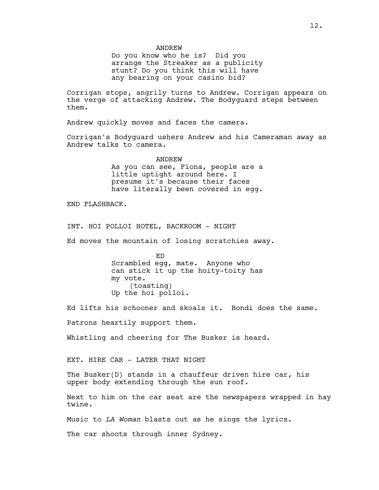### ANDREW

Do you know who he is? Did you arrange the Streaker as a publicity stunt? Do you think this will have any bearing on your casino bid?

Corrigan stops, angrily turns to Andrew. Corrigan appears on the verge of attacking Andrew. The Bodyguard steps between them.

Andrew quickly moves and faces the camera.

Corrigan's Bodyguard ushers Andrew and his Cameraman away as Andrew talks to camera.

> ANDREW As you can see, Fiona, people are a little uptight around here. I presume it's because their faces have literally been covered in egg.

END FLASHBACK.

INT. HOI POLLOI HOTEL, BACKROOM - NIGHT

Ed moves the mountain of losing scratchies away.

ED Scrambled egg, mate. Anyone who can stick it up the hoity-toity has my vote. (toasting) Up the hoi polloi.

Ed lifts his schooner and skoals it. Bondi does the same. Patrons heartily support them.

Whistling and cheering for The Busker is heard.

EXT. HIRE CAR - LATER THAT NIGHT

The Busker(D) stands in a chauffeur driven hire car, his upper body extending through the sun roof.

Next to him on the car seat are the newspapers wrapped in hay twine.

Music to LA Woman blasts out as he sings the lyrics.

The car shoots through inner Sydney.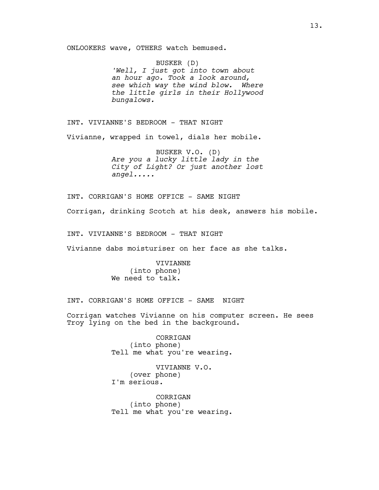ONLOOKERS wave, OTHERS watch bemused.

BUSKER (D) 'Well, I just got into town about an hour ago. Took a look around, see which way the wind blow. Where the little girls in their Hollywood bungalows.

INT. VIVIANNE'S BEDROOM - THAT NIGHT

Vivianne, wrapped in towel, dials her mobile.

BUSKER V.O. (D) Are you a lucky little lady in the City of Light? Or just another lost angel.....

INT. CORRIGAN'S HOME OFFICE - SAME NIGHT

Corrigan, drinking Scotch at his desk, answers his mobile.

INT. VIVIANNE'S BEDROOM - THAT NIGHT

Vivianne dabs moisturiser on her face as she talks.

VIVIANNE (into phone) We need to talk.

INT. CORRIGAN'S HOME OFFICE - SAME NIGHT

Corrigan watches Vivianne on his computer screen. He sees Troy lying on the bed in the background.

> CORRIGAN (into phone) Tell me what you're wearing.

VIVIANNE V.O. (over phone) I'm serious.

CORRIGAN (into phone) Tell me what you're wearing.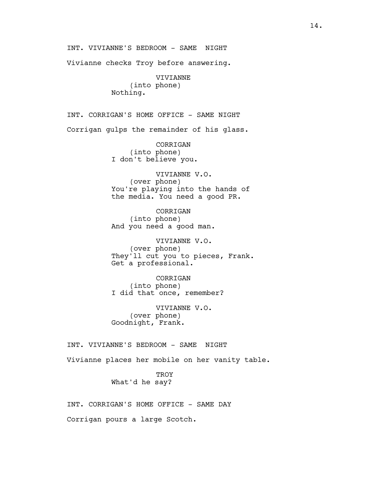INT. VIVIANNE'S BEDROOM - SAME NIGHT

Vivianne checks Troy before answering.

VIVIANNE (into phone) Nothing.

INT. CORRIGAN'S HOME OFFICE - SAME NIGHT Corrigan gulps the remainder of his glass.

> CORRIGAN (into phone) I don't believe you.

VIVIANNE V.O. (over phone) You're playing into the hands of the media. You need a good PR.

CORRIGAN (into phone) And you need a good man.

VIVIANNE V.O. (over phone) They'll cut you to pieces, Frank. Get a professional.

CORRIGAN (into phone) I did that once, remember?

VIVIANNE V.O. (over phone) Goodnight, Frank.

INT. VIVIANNE'S BEDROOM - SAME NIGHT

Vivianne places her mobile on her vanity table.

**TROY** What'd he say?

INT. CORRIGAN'S HOME OFFICE - SAME DAY

Corrigan pours a large Scotch.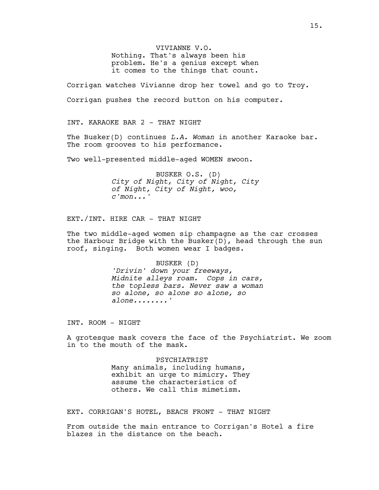VIVIANNE V.O. Nothing. That's always been his problem. He's a genius except when it comes to the things that count.

Corrigan watches Vivianne drop her towel and go to Troy.

Corrigan pushes the record button on his computer.

INT. KARAOKE BAR 2 - THAT NIGHT

The Busker(D) continues  $L.A.$  Woman in another Karaoke bar. The room grooves to his performance.

Two well-presented middle-aged WOMEN swoon.

BUSKER O.S. (D) City of Night, City of Night, City of Night, City of Night, woo,  $c'$ mon...

EXT./INT. HIRE CAR - THAT NIGHT

The two middle-aged women sip champagne as the car crosses the Harbour Bridge with the Busker(D), head through the sun roof, singing. Both women wear I badges.

> BUSKER (D) 'Drivin' down your freeways, Midnite alleys roam. Cops in cars, the topless bars. Never saw a woman so alone, so alone so alone, so alone........'

INT. ROOM - NIGHT

A grotesque mask covers the face of the Psychiatrist. We zoom in to the mouth of the mask.

> PSYCHIATRIST Many animals, including humans, exhibit an urge to mimicry. They assume the characteristics of others. We call this mimetism.

EXT. CORRIGAN'S HOTEL, BEACH FRONT - THAT NIGHT

From outside the main entrance to Corrigan's Hotel a fire blazes in the distance on the beach.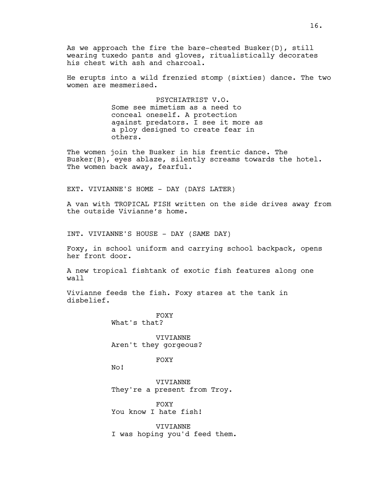As we approach the fire the bare-chested Busker(D), still wearing tuxedo pants and gloves, ritualistically decorates his chest with ash and charcoal.

He erupts into a wild frenzied stomp (sixties) dance. The two women are mesmerised.

> PSYCHIATRIST V.O. Some see mimetism as a need to conceal oneself. A protection against predators. I see it more as a ploy designed to create fear in others.

The women join the Busker in his frentic dance. The Busker(B), eyes ablaze, silently screams towards the hotel. The women back away, fearful.

EXT. VIVIANNE'S HOME - DAY (DAYS LATER)

A van with TROPICAL FISH written on the side drives away from the outside Vivianne's home.

INT. VIVIANNE'S HOUSE - DAY (SAME DAY)

Foxy, in school uniform and carrying school backpack, opens her front door.

A new tropical fishtank of exotic fish features along one wall

Vivianne feeds the fish. Foxy stares at the tank in disbelief.

> FOXY What's that?

VIVIANNE Aren't they gorgeous?

FOXY

No!

VIVIANNE They're a present from Troy.

FOXY You know I hate fish!

VIVIANNE I was hoping you'd feed them.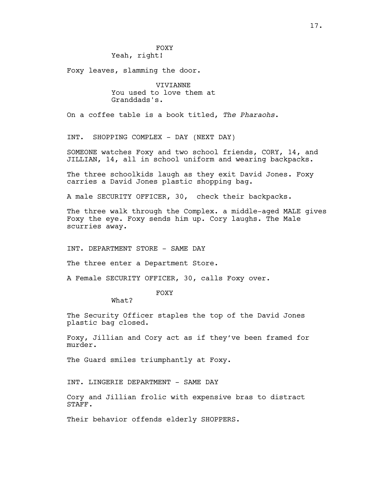Foxy leaves, slamming the door.

VIVIANNE You used to love them at Granddads's.

On a coffee table is a book titled, The Pharaohs.

INT. SHOPPING COMPLEX - DAY (NEXT DAY)

SOMEONE watches Foxy and two school friends, CORY, 14, and JILLIAN, 14, all in school uniform and wearing backpacks.

The three schoolkids laugh as they exit David Jones. Foxy carries a David Jones plastic shopping bag.

A male SECURITY OFFICER, 30, check their backpacks.

The three walk through the Complex. a middle-aged MALE gives Foxy the eye. Foxy sends him up. Cory laughs. The Male scurries away.

INT. DEPARTMENT STORE - SAME DAY

The three enter a Department Store.

A Female SECURITY OFFICER, 30, calls Foxy over.

**FOXY** 

What?

The Security Officer staples the top of the David Jones plastic bag closed.

Foxy, Jillian and Cory act as if they've been framed for murder.

The Guard smiles triumphantly at Foxy.

INT. LINGERIE DEPARTMENT - SAME DAY

Cory and Jillian frolic with expensive bras to distract STAFF.

Their behavior offends elderly SHOPPERS.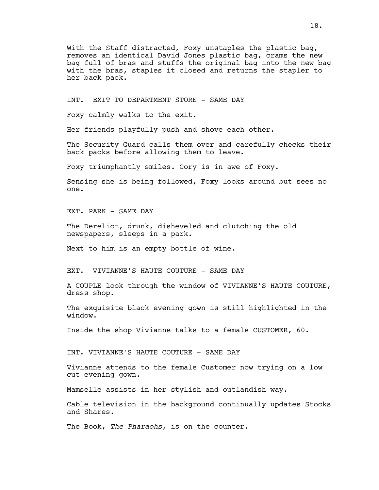With the Staff distracted, Foxy unstaples the plastic bag, removes an identical David Jones plastic bag, crams the new bag full of bras and stuffs the original bag into the new bag with the bras, staples it closed and returns the stapler to her back pack.

INT. EXIT TO DEPARTMENT STORE - SAME DAY

Foxy calmly walks to the exit.

Her friends playfully push and shove each other.

The Security Guard calls them over and carefully checks their back packs before allowing them to leave.

Foxy triumphantly smiles. Cory is in awe of Foxy.

Sensing she is being followed, Foxy looks around but sees no one.

EXT. PARK - SAME DAY

The Derelict, drunk, disheveled and clutching the old newspapers, sleeps in a park.

Next to him is an empty bottle of wine.

EXT. VIVIANNE'S HAUTE COUTURE - SAME DAY

A COUPLE look through the window of VIVIANNE'S HAUTE COUTURE, dress shop.

The exquisite black evening gown is still highlighted in the window.

Inside the shop Vivianne talks to a female CUSTOMER, 60.

INT. VIVIANNE'S HAUTE COUTURE - SAME DAY

Vivianne attends to the female Customer now trying on a low cut evening gown.

Mamselle assists in her stylish and outlandish way.

Cable television in the background continually updates Stocks and Shares.

The Book, The Pharaohs, is on the counter.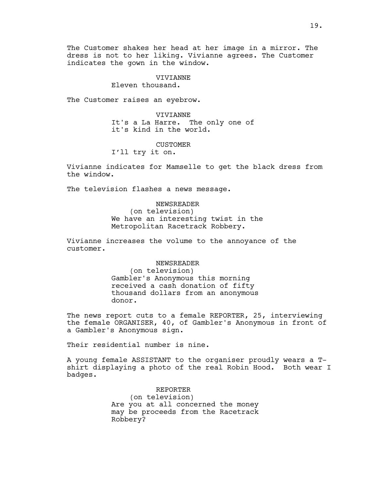The Customer shakes her head at her image in a mirror. The dress is not to her liking. Vivianne agrees. The Customer indicates the gown in the window.

## VIVIANNE

Eleven thousand.

The Customer raises an eyebrow.

VIVIANNE It's a La Harre. The only one of it's kind in the world.

## **CUSTOMER**

I'll try it on.

Vivianne indicates for Mamselle to get the black dress from the window.

The television flashes a news message.

NEWSREADER (on television) We have an interesting twist in the Metropolitan Racetrack Robbery.

Vivianne increases the volume to the annoyance of the customer.

#### NEWSREADER

(on television) Gambler's Anonymous this morning received a cash donation of fifty thousand dollars from an anonymous donor.

The news report cuts to a female REPORTER, 25, interviewing the female ORGANISER, 40, of Gambler's Anonymous in front of a Gambler's Anonymous sign.

Their residential number is nine.

A young female ASSISTANT to the organiser proudly wears a Tshirt displaying a photo of the real Robin Hood. Both wear I badges.

> REPORTER (on television) Are you at all concerned the money may be proceeds from the Racetrack Robbery?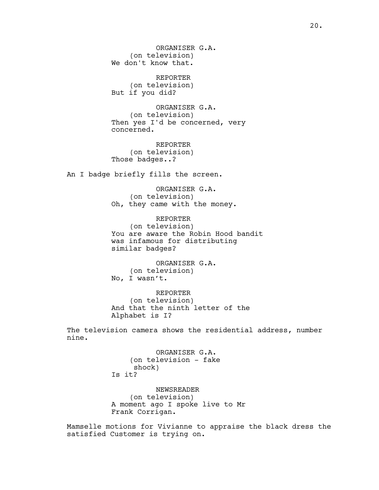ORGANISER G.A. (on television) We don't know that. REPORTER (on television) But if you did? ORGANISER G.A. (on television) Then yes I'd be concerned, very concerned. REPORTER (on television) Those badges..? An I badge briefly fills the screen. ORGANISER G.A. (on television) Oh, they came with the money. REPORTER (on television) You are aware the Robin Hood bandit was infamous for distributing similar badges? ORGANISER G.A. (on television) No, I wasn't. REPORTER (on television) And that the ninth letter of the Alphabet is I? The television camera shows the residential address, number nine. ORGANISER G.A. (on television - fake shock) Is it?

> NEWSREADER (on television) A moment ago I spoke live to Mr Frank Corrigan.

Mamselle motions for Vivianne to appraise the black dress the satisfied Customer is trying on.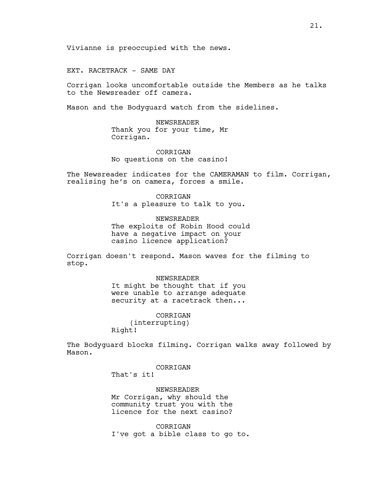Vivianne is preoccupied with the news.

EXT. RACETRACK - SAME DAY

Corrigan looks uncomfortable outside the Members as he talks to the Newsreader off camera.

Mason and the Bodyguard watch from the sidelines.

NEWSREADER Thank you for your time, Mr Corrigan.

CORRIGAN No questions on the casino!

The Newsreader indicates for the CAMERAMAN to film. Corrigan, realising he's on camera, forces a smile.

> CORRIGAN It's a pleasure to talk to you.

NEWSREADER The exploits of Robin Hood could have a negative impact on your casino licence application?

Corrigan doesn't respond. Mason waves for the filming to stop.

> NEWSREADER It might be thought that if you were unable to arrange adequate security at a racetrack then...

CORRIGAN (interrupting) Right!

The Bodyguard blocks filming. Corrigan walks away followed by Mason.

> CORRIGAN That's it!

NEWSREADER Mr Corrigan, why should the community trust you with the licence for the next casino?

CORRIGAN I've got a bible class to go to.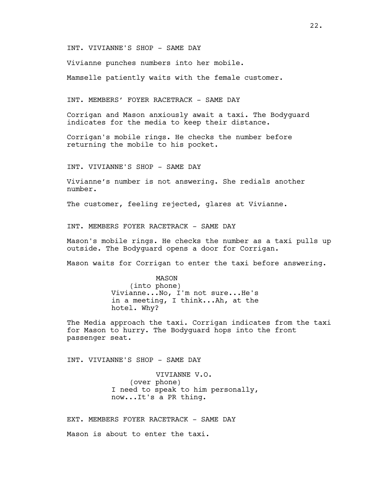INT. VIVIANNE'S SHOP - SAME DAY

Vivianne punches numbers into her mobile.

Mamselle patiently waits with the female customer.

INT. MEMBERS' FOYER RACETRACK - SAME DAY

Corrigan and Mason anxiously await a taxi. The Bodyguard indicates for the media to keep their distance.

Corrigan's mobile rings. He checks the number before returning the mobile to his pocket.

INT. VIVIANNE'S SHOP - SAME DAY

Vivianne's number is not answering. She redials another number.

The customer, feeling rejected, glares at Vivianne.

INT. MEMBERS FOYER RACETRACK - SAME DAY

Mason's mobile rings. He checks the number as a taxi pulls up outside. The Bodyguard opens a door for Corrigan.

Mason waits for Corrigan to enter the taxi before answering.

MASON

(into phone) Vivianne...No, I'm not sure...He's in a meeting, I think...Ah, at the hotel. Why?

The Media approach the taxi. Corrigan indicates from the taxi for Mason to hurry. The Bodyguard hops into the front passenger seat.

INT. VIVIANNE'S SHOP - SAME DAY

VIVIANNE V.O. (over phone) I need to speak to him personally, now...It's a PR thing.

EXT. MEMBERS FOYER RACETRACK - SAME DAY Mason is about to enter the taxi.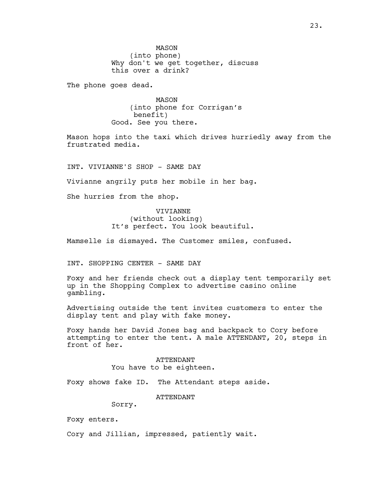MASON (into phone) Why don't we get together, discuss this over a drink?

The phone goes dead.

MASON (into phone for Corrigan's benefit) Good. See you there.

Mason hops into the taxi which drives hurriedly away from the frustrated media.

INT. VIVIANNE'S SHOP - SAME DAY

Vivianne angrily puts her mobile in her bag.

She hurries from the shop.

VIVIANNE (without looking) It's perfect. You look beautiful.

Mamselle is dismayed. The Customer smiles, confused.

INT. SHOPPING CENTER - SAME DAY

Foxy and her friends check out a display tent temporarily set up in the Shopping Complex to advertise casino online gambling.

Advertising outside the tent invites customers to enter the display tent and play with fake money.

Foxy hands her David Jones bag and backpack to Cory before attempting to enter the tent. A male ATTENDANT, 20, steps in front of her.

> ATTENDANT You have to be eighteen.

Foxy shows fake ID. The Attendant steps aside.

ATTENDANT

Sorry.

Foxy enters.

Cory and Jillian, impressed, patiently wait.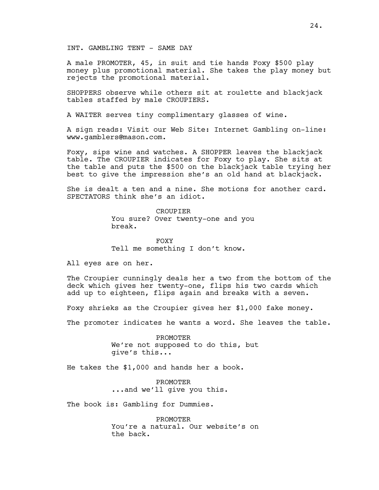INT. GAMBLING TENT - SAME DAY

A male PROMOTER, 45, in suit and tie hands Foxy \$500 play money plus promotional material. She takes the play money but rejects the promotional material.

SHOPPERS observe while others sit at roulette and blackjack tables staffed by male CROUPIERS.

A WAITER serves tiny complimentary glasses of wine.

A sign reads: Visit our Web Site: Internet Gambling on-line: www.gamblers@mason.com.

Foxy, sips wine and watches. A SHOPPER leaves the blackjack table. The CROUPIER indicates for Foxy to play. She sits at the table and puts the \$500 on the blackjack table trying her best to give the impression she's an old hand at blackjack.

She is dealt a ten and a nine. She motions for another card. SPECTATORS think she's an idiot.

> **CROUPTER** You sure? Over twenty-one and you break.

**FOXY** Tell me something I don't know.

All eyes are on her.

The Croupier cunningly deals her a two from the bottom of the deck which gives her twenty-one, flips his two cards which add up to eighteen, flips again and breaks with a seven.

Foxy shrieks as the Croupier gives her \$1,000 fake money.

The promoter indicates he wants a word. She leaves the table.

PROMOTER We're not supposed to do this, but give's this...

He takes the \$1,000 and hands her a book.

PROMOTER ...and we'll give you this.

The book is: Gambling for Dummies.

PROMOTER You're a natural. Our website's on the back.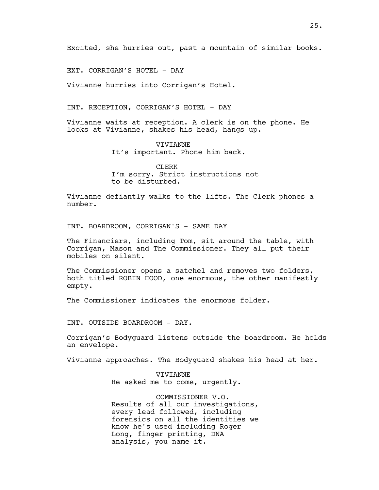Excited, she hurries out, past a mountain of similar books.

EXT. CORRIGAN'S HOTEL - DAY

Vivianne hurries into Corrigan's Hotel.

INT. RECEPTION, CORRIGAN'S HOTEL - DAY

Vivianne waits at reception. A clerk is on the phone. He looks at Vivianne, shakes his head, hangs up.

> VIVIANNE It's important. Phone him back.

CLERK I'm sorry. Strict instructions not to be disturbed.

Vivianne defiantly walks to the lifts. The Clerk phones a number.

INT. BOARDROOM, CORRIGAN'S - SAME DAY

The Financiers, including Tom, sit around the table, with Corrigan, Mason and The Commissioner. They all put their mobiles on silent.

The Commissioner opens a satchel and removes two folders, both titled ROBIN HOOD, one enormous, the other manifestly empty.

The Commissioner indicates the enormous folder.

INT. OUTSIDE BOARDROOM - DAY.

Corrigan's Bodyguard listens outside the boardroom. He holds an envelope.

Vivianne approaches. The Bodyguard shakes his head at her.

VIVIANNE He asked me to come, urgently.

COMMISSIONER V.O. Results of all our investigations, every lead followed, including forensics on all the identities we know he's used including Roger Long, finger printing, DNA analysis, you name it.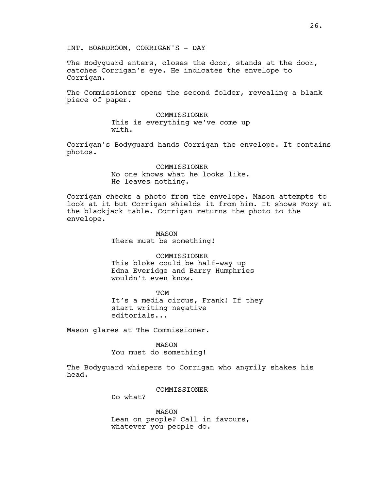The Bodyquard enters, closes the door, stands at the door, catches Corrigan's eye. He indicates the envelope to Corrigan.

The Commissioner opens the second folder, revealing a blank piece of paper.

> COMMISSIONER This is everything we've come up with.

Corrigan's Bodyguard hands Corrigan the envelope. It contains photos.

> COMMISSIONER No one knows what he looks like. He leaves nothing.

Corrigan checks a photo from the envelope. Mason attempts to look at it but Corrigan shields it from him. It shows Foxy at the blackjack table. Corrigan returns the photo to the envelope.

> MASON There must be something!

> > COMMISSIONER

This bloke could be half-way up Edna Everidge and Barry Humphries wouldn't even know.

**TOM** 

It's a media circus, Frank! If they start writing negative editorials...

Mason glares at The Commissioner.

MASON

You must do something!

The Bodyguard whispers to Corrigan who angrily shakes his head.

COMMISSIONER

Do what?

MASON Lean on people? Call in favours, whatever you people do.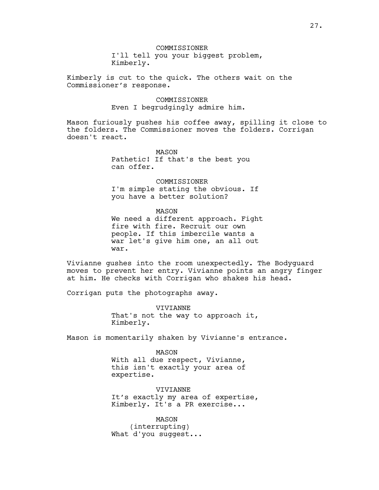Kimberly is cut to the quick. The others wait on the Commissioner's response.

> COMMISSIONER Even I begrudgingly admire him.

Mason furiously pushes his coffee away, spilling it close to the folders. The Commissioner moves the folders. Corrigan doesn't react.

> MASON Pathetic! If that's the best you can offer.

COMMISSIONER I'm simple stating the obvious. If you have a better solution?

MASON We need a different approach. Fight fire with fire. Recruit our own people. If this imbercile wants a war let's give him one, an all out war.

Vivianne gushes into the room unexpectedly. The Bodyguard moves to prevent her entry. Vivianne points an angry finger at him. He checks with Corrigan who shakes his head.

Corrigan puts the photographs away.

VIVIANNE That's not the way to approach it, Kimberly.

Mason is momentarily shaken by Vivianne's entrance.

MASON With all due respect, Vivianne, this isn't exactly your area of expertise.

VIVIANNE It's exactly my area of expertise, Kimberly. It's a PR exercise...

MASON (interrupting) What d'you suggest...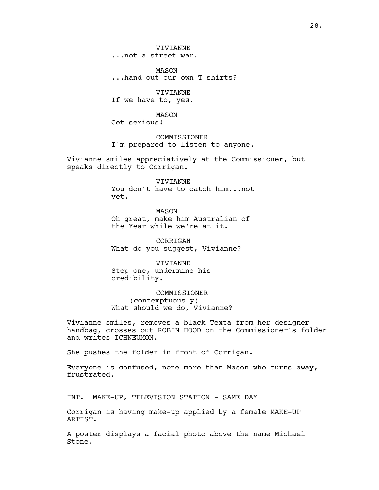VIVIANNE ...not a street war.

MASON ...hand out our own T-shirts?

VIVIANNE If we have to, yes.

MASON Get serious!

COMMISSIONER I'm prepared to listen to anyone.

Vivianne smiles appreciatively at the Commissioner, but speaks directly to Corrigan.

> VIVIANNE You don't have to catch him...not yet.

MASON Oh great, make him Australian of the Year while we're at it.

CORRIGAN What do you suggest, Vivianne?

VIVIANNE Step one, undermine his credibility.

COMMISSIONER (contemptuously) What should we do, Vivianne?

Vivianne smiles, removes a black Texta from her designer handbag, crosses out ROBIN HOOD on the Commissioner's folder and writes ICHNEUMON.

She pushes the folder in front of Corrigan.

Everyone is confused, none more than Mason who turns away, frustrated.

INT. MAKE-UP, TELEVISION STATION - SAME DAY

Corrigan is having make-up applied by a female MAKE-UP ARTIST.

A poster displays a facial photo above the name Michael Stone.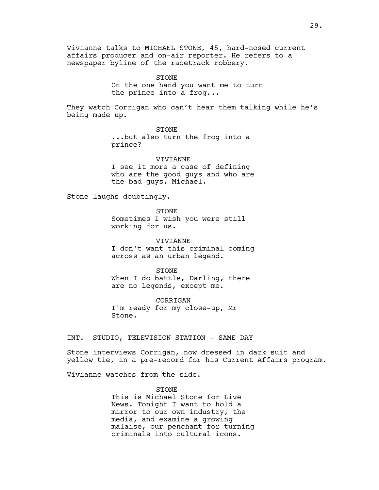Vivianne talks to MICHAEL STONE, 45, hard-nosed current affairs producer and on-air reporter. He refers to a newspaper byline of the racetrack robbery.

> STONE On the one hand you want me to turn the prince into a frog...

They watch Corrigan who can't hear them talking while he's being made up.

> STONE. ...but also turn the frog into a prince?

VIVIANNE I see it more a case of defining who are the good guys and who are the bad guys, Michael.

Stone laughs doubtingly.

STONE Sometimes I wish you were still working for us.

VIVIANNE I don't want this criminal coming across as an urban legend.

STONE When I do battle, Darling, there are no legends, except me.

CORRIGAN I'm ready for my close-up, Mr Stone.

INT. STUDIO, TELEVISION STATION - SAME DAY

Stone interviews Corrigan, now dressed in dark suit and yellow tie, in a pre-record for his Current Affairs program.

Vivianne watches from the side.

STONE This is Michael Stone for Live News. Tonight I want to hold a mirror to our own industry, the media, and examine a growing malaise, our penchant for turning criminals into cultural icons.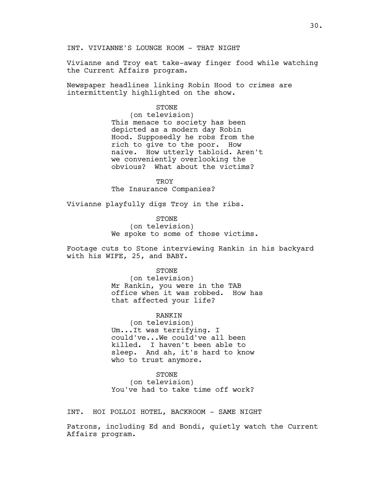Vivianne and Troy eat take-away finger food while watching the Current Affairs program.

Newspaper headlines linking Robin Hood to crimes are intermittently highlighted on the show.

## STONE

(on television) This menace to society has been depicted as a modern day Robin Hood. Supposedly he robs from the rich to give to the poor. How naive. How utterly tabloid. Aren't we conveniently overlooking the obvious? What about the victims?

**TROY** The Insurance Companies?

Vivianne playfully digs Troy in the ribs.

STONE (on television) We spoke to some of those victims.

Footage cuts to Stone interviewing Rankin in his backyard with his WIFE, 25, and BABY.

### STONE

(on television) Mr Rankin, you were in the TAB office when it was robbed. How has that affected your life?

RANKIN

(on television) Um...It was terrifying. I could've...We could've all been killed. I haven't been able to sleep. And ah, it's hard to know who to trust anymore.

STONE (on television) You've had to take time off work?

INT. HOI POLLOI HOTEL, BACKROOM - SAME NIGHT

Patrons, including Ed and Bondi, quietly watch the Current Affairs program.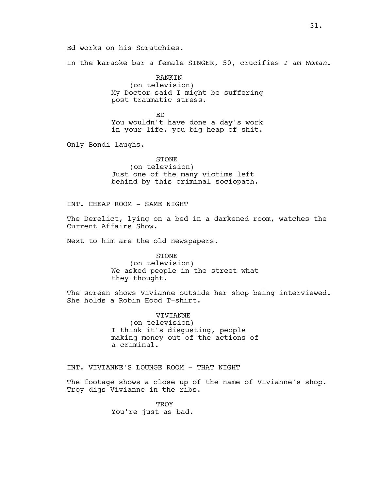Ed works on his Scratchies.

In the karaoke bar a female SINGER, 50, crucifies I am Woman.

RANKIN (on television) My Doctor said I might be suffering post traumatic stress.

ED You wouldn't have done a day's work in your life, you big heap of shit.

Only Bondi laughs.

STONE (on television) Just one of the many victims left behind by this criminal sociopath.

INT. CHEAP ROOM - SAME NIGHT

The Derelict, lying on a bed in a darkened room, watches the Current Affairs Show.

Next to him are the old newspapers.

STONE (on television) We asked people in the street what they thought.

The screen shows Vivianne outside her shop being interviewed. She holds a Robin Hood T-shirt.

> VIVIANNE (on television) I think it's disgusting, people making money out of the actions of a criminal.

INT. VIVIANNE'S LOUNGE ROOM - THAT NIGHT

The footage shows a close up of the name of Vivianne's shop. Troy digs Vivianne in the ribs.

> TROY You're just as bad.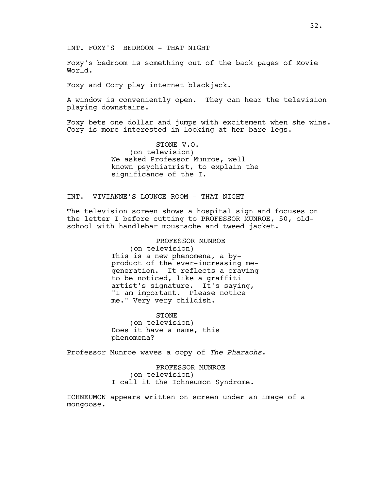Foxy's bedroom is something out of the back pages of Movie World.

Foxy and Cory play internet blackjack.

A window is conveniently open. They can hear the television playing downstairs.

Foxy bets one dollar and jumps with excitement when she wins. Cory is more interested in looking at her bare legs.

> STONE V.O. (on television) We asked Professor Munroe, well known psychiatrist, to explain the significance of the I.

INT. VIVIANNE'S LOUNGE ROOM - THAT NIGHT

The television screen shows a hospital sign and focuses on the letter I before cutting to PROFESSOR MUNROE, 50, oldschool with handlebar moustache and tweed jacket.

> PROFESSOR MUNROE (on television) This is a new phenomena, a byproduct of the ever-increasing megeneration. It reflects a craving to be noticed, like a graffiti artist's signature. It's saying, "I am important. Please notice me." Very very childish.

STONE (on television) Does it have a name, this phenomena?

Professor Munroe waves a copy of The Pharaohs.

PROFESSOR MUNROE (on television) I call it the Ichneumon Syndrome.

ICHNEUMON appears written on screen under an image of a mongoose.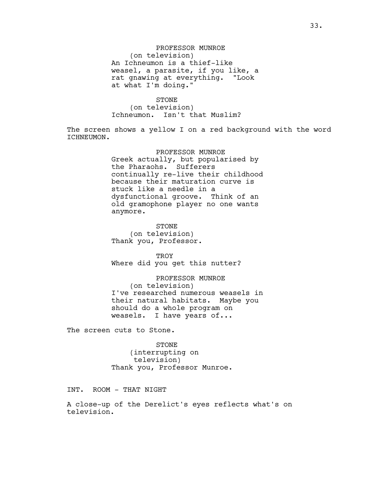PROFESSOR MUNROE (on television) An Ichneumon is a thief-like weasel, a parasite, if you like, a rat gnawing at everything. "Look at what I'm doing."

STONE (on television) Ichneumon. Isn't that Muslim?

The screen shows a yellow I on a red background with the word ICHNEUMON.

> PROFESSOR MUNROE Greek actually, but popularised by the Pharaohs. Sufferers continually re-live their childhood because their maturation curve is stuck like a needle in a dysfunctional groove. Think of an old gramophone player no one wants anymore.

STONE (on television) Thank you, Professor.

TROY Where did you get this nutter?

PROFESSOR MUNROE (on television) I've researched numerous weasels in their natural habitats. Maybe you should do a whole program on weasels. I have years of...

The screen cuts to Stone.

STONE (interrupting on television) Thank you, Professor Munroe.

INT. ROOM - THAT NIGHT

A close-up of the Derelict's eyes reflects what's on television.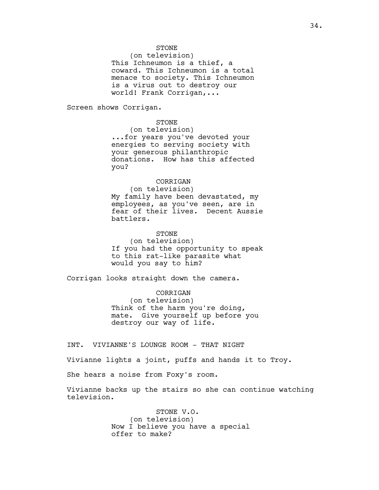STONE

(on television) This Ichneumon is a thief, a coward. This Ichneumon is a total menace to society. This Ichneumon is a virus out to destroy our world! Frank Corrigan,...

Screen shows Corrigan.

# STONE

(on television) ...for years you've devoted your energies to serving society with your generous philanthropic donations. How has this affected you?

## CORRIGAN

(on television) My family have been devastated, my employees, as you've seen, are in fear of their lives. Decent Aussie battlers.

STONE (on television) If you had the opportunity to speak to this rat-like parasite what would you say to him?

Corrigan looks straight down the camera.

CORRIGAN (on television) Think of the harm you're doing, mate. Give yourself up before you destroy our way of life.

INT. VIVIANNE'S LOUNGE ROOM - THAT NIGHT

Vivianne lights a joint, puffs and hands it to Troy.

She hears a noise from Foxy's room.

Vivianne backs up the stairs so she can continue watching television.

> STONE V.O. (on television) Now I believe you have a special offer to make?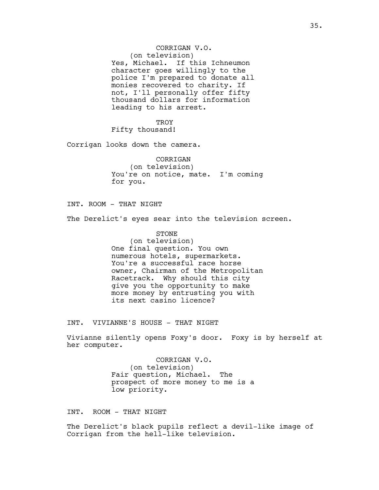CORRIGAN V.O. (on television) Yes, Michael. If this Ichneumon character goes willingly to the police I'm prepared to donate all monies recovered to charity. If not, I'll personally offer fifty thousand dollars for information leading to his arrest.

**TROY** Fifty thousand!

Corrigan looks down the camera.

CORRIGAN (on television) You're on notice, mate. I'm coming for you.

INT. ROOM - THAT NIGHT

The Derelict's eyes sear into the television screen.

STONE (on television) One final question. You own numerous hotels, supermarkets. You're a successful race horse owner, Chairman of the Metropolitan Racetrack. Why should this city give you the opportunity to make more money by entrusting you with its next casino licence?

INT. VIVIANNE'S HOUSE - THAT NIGHT

Vivianne silently opens Foxy's door. Foxy is by herself at her computer.

> CORRIGAN V.O. (on television) Fair question, Michael. The prospect of more money to me is a low priority.

INT. ROOM - THAT NIGHT

The Derelict's black pupils reflect a devil-like image of Corrigan from the hell-like television.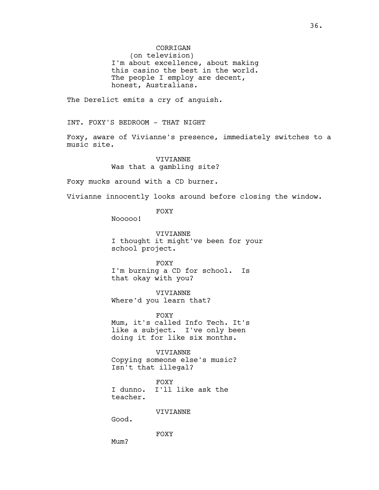honest, Australians.

The Derelict emits a cry of anguish.

INT. FOXY'S BEDROOM - THAT NIGHT

Foxy, aware of Vivianne's presence, immediately switches to a music site.

> VIVIANNE Was that a gambling site?

Foxy mucks around with a CD burner.

Vivianne innocently looks around before closing the window.

FOXY

Nooooo!

VIVIANNE I thought it might've been for your school project.

FOXY I'm burning a CD for school. Is that okay with you?

VIVIANNE Where'd you learn that?

FOXY Mum, it's called Info Tech. It's like a subject. I've only been doing it for like six months.

VIVIANNE Copying someone else's music? Isn't that illegal?

FOXY I dunno. I'll like ask the teacher.

VIVIANNE

Good.

FOXY

Mum?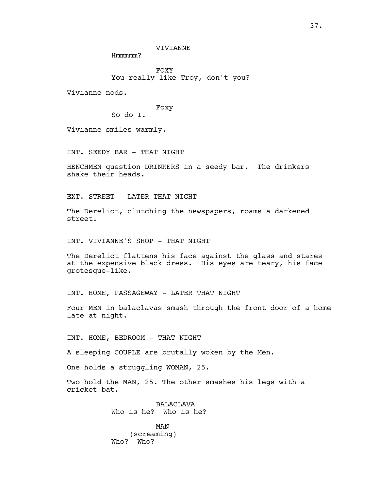VIVIANNE

Hmmmmm?

FOXY You really like Troy, don't you?

Vivianne nods.

Foxy

So do I.

Vivianne smiles warmly.

INT. SEEDY BAR - THAT NIGHT

HENCHMEN question DRINKERS in a seedy bar. The drinkers shake their heads.

EXT. STREET - LATER THAT NIGHT

The Derelict, clutching the newspapers, roams a darkened street.

INT. VIVIANNE'S SHOP - THAT NIGHT

The Derelict flattens his face against the glass and stares at the expensive black dress. His eyes are teary, his face grotesque-like.

INT. HOME, PASSAGEWAY - LATER THAT NIGHT

Four MEN in balaclavas smash through the front door of a home late at night.

INT. HOME, BEDROOM - THAT NIGHT

A sleeping COUPLE are brutally woken by the Men.

One holds a struggling WOMAN, 25.

Two hold the MAN, 25. The other smashes his legs with a cricket bat.

> BALACLAVA Who is he? Who is he?

MAN (screaming) Who? Who?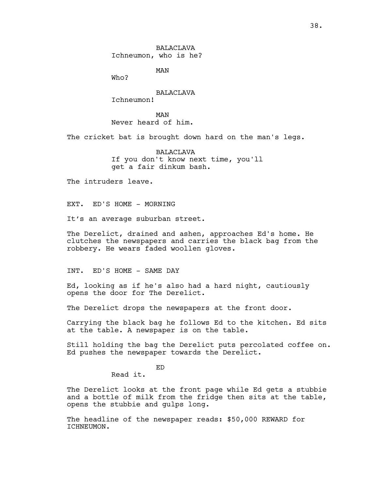MAN

Who?

BALACLAVA

Ichneumon!

MAN Never heard of him.

The cricket bat is brought down hard on the man's legs.

BALACLAVA If you don't know next time, you'll get a fair dinkum bash.

The intruders leave.

EXT. ED'S HOME - MORNING

It's an average suburban street.

The Derelict, drained and ashen, approaches Ed's home. He clutches the newspapers and carries the black bag from the robbery. He wears faded woollen gloves.

INT. ED'S HOME - SAME DAY

Ed, looking as if he's also had a hard night, cautiously opens the door for The Derelict.

The Derelict drops the newspapers at the front door.

Carrying the black bag he follows Ed to the kitchen. Ed sits at the table. A newspaper is on the table.

Still holding the bag the Derelict puts percolated coffee on. Ed pushes the newspaper towards the Derelict.

ED

Read it.

The Derelict looks at the front page while Ed gets a stubbie and a bottle of milk from the fridge then sits at the table, opens the stubbie and gulps long.

The headline of the newspaper reads: \$50,000 REWARD for ICHNEUMON.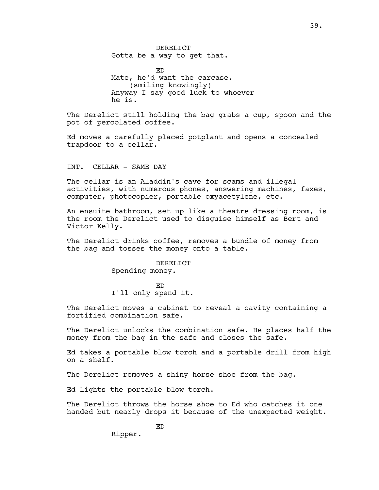DERELICT Gotta be a way to get that.

ED Mate, he'd want the carcase. (smiling knowingly) Anyway I say good luck to whoever he is.

The Derelict still holding the bag grabs a cup, spoon and the pot of percolated coffee.

Ed moves a carefully placed potplant and opens a concealed trapdoor to a cellar.

# INT. CELLAR - SAME DAY

The cellar is an Aladdin's cave for scams and illegal activities, with numerous phones, answering machines, faxes, computer, photocopier, portable oxyacetylene, etc.

An ensuite bathroom, set up like a theatre dressing room, is the room the Derelict used to disguise himself as Bert and Victor Kelly.

The Derelict drinks coffee, removes a bundle of money from the bag and tosses the money onto a table.

#### DERELICT

Spending money.

ED I'll only spend it.

The Derelict moves a cabinet to reveal a cavity containing a fortified combination safe.

The Derelict unlocks the combination safe. He places half the money from the bag in the safe and closes the safe.

Ed takes a portable blow torch and a portable drill from high on a shelf.

The Derelict removes a shiny horse shoe from the bag.

Ed lights the portable blow torch.

The Derelict throws the horse shoe to Ed who catches it one handed but nearly drops it because of the unexpected weight.

ED

Ripper.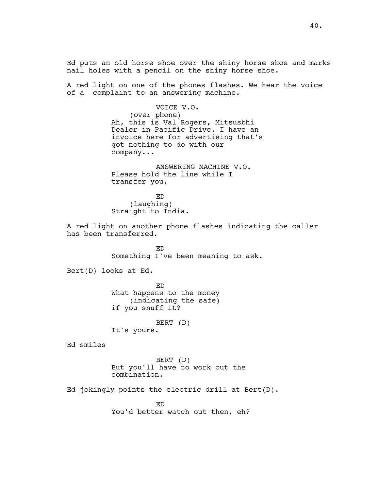Ed puts an old horse shoe over the shiny horse shoe and marks nail holes with a pencil on the shiny horse shoe.

A red light on one of the phones flashes. We hear the voice of a complaint to an answering machine.

> VOICE V.O. (over phone) Ah, this is Val Rogers, Mitsusbhi Dealer in Pacific Drive. I have an invoice here for advertising that's got nothing to do with our company...

ANSWERING MACHINE V.O. Please hold the line while I transfer you.

ED (laughing) Straight to India.

A red light on another phone flashes indicating the caller has been transferred.

> ED Something I've been meaning to ask.

Bert(D) looks at Ed.

ED What happens to the money (indicating the safe) if you snuff it?

BERT (D) It's yours.

Ed smiles

BERT (D) But you'll have to work out the combination.

Ed jokingly points the electric drill at Bert(D).

ED You'd better watch out then, eh?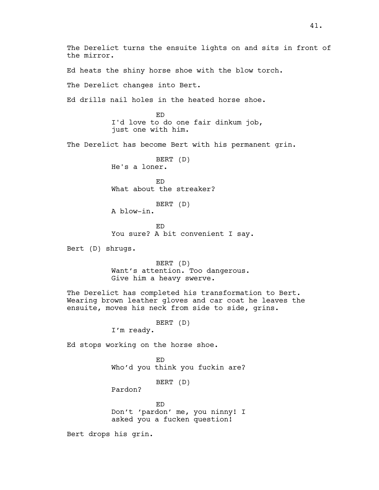The Derelict turns the ensuite lights on and sits in front of the mirror. Ed heats the shiny horse shoe with the blow torch. The Derelict changes into Bert. Ed drills nail holes in the heated horse shoe. ED I'd love to do one fair dinkum job, just one with him. The Derelict has become Bert with his permanent grin. BERT (D) He's a loner. ED What about the streaker? BERT (D) A blow-in. ED You sure? A bit convenient I say. Bert (D) shrugs. BERT (D) Want's attention. Too dangerous. Give him a heavy swerve. The Derelict has completed his transformation to Bert. Wearing brown leather gloves and car coat he leaves the ensuite, moves his neck from side to side, grins. BERT (D) I'm ready. Ed stops working on the horse shoe. ED Who'd you think you fuckin are? BERT (D) Pardon? ED Don't 'pardon' me, you ninny! I asked you a fucken question! Bert drops his grin.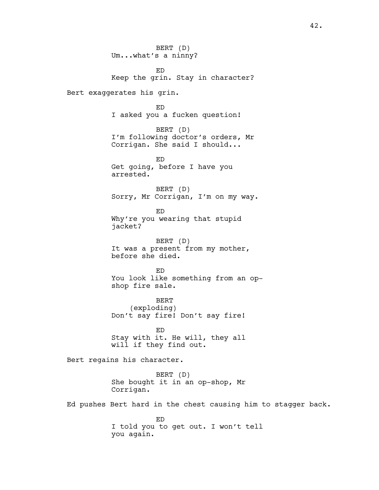BERT (D) Um...what's a ninny?

ED Keep the grin. Stay in character?

Bert exaggerates his grin.

ED I asked you a fucken question!

BERT (D) I'm following doctor's orders, Mr Corrigan. She said I should...

ED Get going, before I have you arrested.

BERT (D) Sorry, Mr Corrigan, I'm on my way.

ED Why're you wearing that stupid jacket?

BERT (D) It was a present from my mother, before she died.

ED You look like something from an opshop fire sale.

BERT (exploding) Don't say fire! Don't say fire!

ED Stay with it. He will, they all will if they find out.

Bert regains his character.

BERT (D) She bought it in an op-shop, Mr Corrigan.

Ed pushes Bert hard in the chest causing him to stagger back.

ED I told you to get out. I won't tell you again.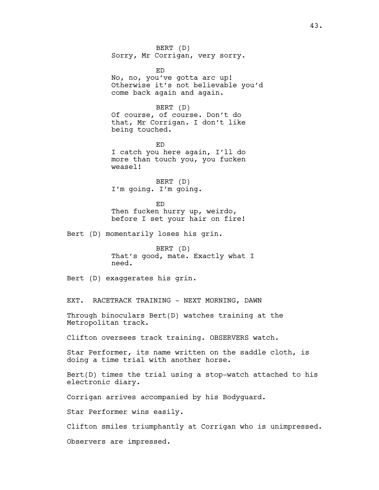BERT (D) Sorry, Mr Corrigan, very sorry.

ED No, no, you've gotta arc up! Otherwise it's not believable you'd come back again and again.

BERT (D) Of course, of course. Don't do that, Mr Corrigan. I don't like being touched.

ED I catch you here again, I'll do more than touch you, you fucken weasel!

BERT (D) I'm going. I'm going.

ED Then fucken hurry up, weirdo, before I set your hair on fire!

Bert (D) momentarily loses his grin.

BERT (D) That's good, mate. Exactly what I need.

Bert (D) exaggerates his grin.

EXT. RACETRACK TRAINING - NEXT MORNING, DAWN

Through binoculars Bert(D) watches training at the Metropolitan track.

Clifton oversees track training. OBSERVERS watch.

Star Performer, its name written on the saddle cloth, is doing a time trial with another horse.

Bert(D) times the trial using a stop-watch attached to his electronic diary.

Corrigan arrives accompanied by his Bodyguard.

Star Performer wins easily.

Clifton smiles triumphantly at Corrigan who is unimpressed.

Observers are impressed.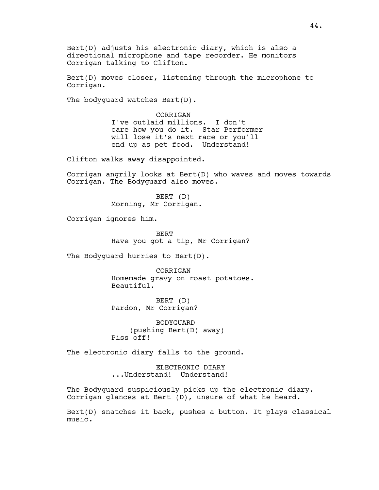Bert(D) adjusts his electronic diary, which is also a directional microphone and tape recorder. He monitors Corrigan talking to Clifton.

Bert(D) moves closer, listening through the microphone to Corrigan.

The bodyquard watches Bert(D).

**CORRIGAN** I've outlaid millions. I don't care how you do it. Star Performer will lose it's next race or you'll end up as pet food. Understand!

Clifton walks away disappointed.

Corrigan angrily looks at Bert(D) who waves and moves towards Corrigan. The Bodyguard also moves.

> BERT (D) Morning, Mr Corrigan.

Corrigan ignores him.

**BERT** Have you got a tip, Mr Corrigan?

The Bodyquard hurries to Bert(D).

CORRIGAN Homemade gravy on roast potatoes. Beautiful.

BERT (D) Pardon, Mr Corrigan?

BODYGUARD (pushing Bert(D) away) Piss off!

The electronic diary falls to the ground.

ELECTRONIC DIARY ...Understand! Understand!

The Bodyguard suspiciously picks up the electronic diary. Corrigan glances at Bert (D), unsure of what he heard.

Bert(D) snatches it back, pushes a button. It plays classical music.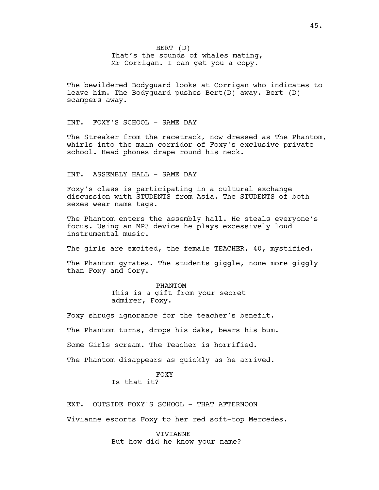BERT (D) That's the sounds of whales mating, Mr Corrigan. I can get you a copy.

The bewildered Bodyguard looks at Corrigan who indicates to leave him. The Bodyguard pushes Bert(D) away. Bert (D) scampers away.

INT. FOXY'S SCHOOL - SAME DAY

The Streaker from the racetrack, now dressed as The Phantom, whirls into the main corridor of Foxy's exclusive private school. Head phones drape round his neck.

INT. ASSEMBLY HALL - SAME DAY

Foxy's class is participating in a cultural exchange discussion with STUDENTS from Asia. The STUDENTS of both sexes wear name tags.

The Phantom enters the assembly hall. He steals everyone's focus. Using an MP3 device he plays excessively loud instrumental music.

The girls are excited, the female TEACHER, 40, mystified.

The Phantom gyrates. The students giggle, none more giggly than Foxy and Cory.

> PHANTOM This is a gift from your secret admirer, Foxy.

Foxy shrugs ignorance for the teacher's benefit. The Phantom turns, drops his daks, bears his bum. Some Girls scream. The Teacher is horrified. The Phantom disappears as quickly as he arrived.

**FOXY** 

Is that it?

EXT. OUTSIDE FOXY'S SCHOOL - THAT AFTERNOON

Vivianne escorts Foxy to her red soft-top Mercedes.

VIVIANNE But how did he know your name?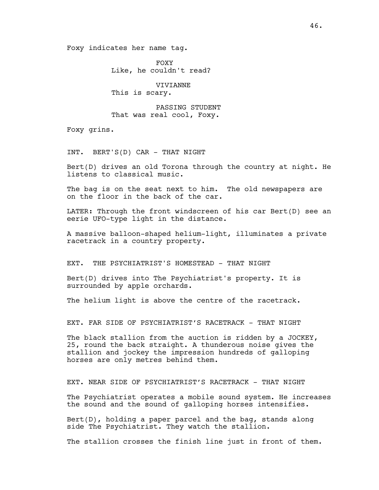Foxy indicates her name tag.

FOXY Like, he couldn't read?

VIVIANNE This is scary.

PASSING STUDENT That was real cool, Foxy.

Foxy grins.

INT. BERT'S(D) CAR - THAT NIGHT

 $Bert(D)$  drives an old Torona through the country at night. He listens to classical music.

The bag is on the seat next to him. The old newspapers are on the floor in the back of the car.

LATER: Through the front windscreen of his car Bert(D) see an eerie UFO-type light in the distance.

A massive balloon-shaped helium-light, illuminates a private racetrack in a country property.

EXT. THE PSYCHIATRIST'S HOMESTEAD - THAT NIGHT

Bert(D) drives into The Psychiatrist's property. It is surrounded by apple orchards.

The helium light is above the centre of the racetrack.

EXT. FAR SIDE OF PSYCHIATRIST'S RACETRACK - THAT NIGHT

The black stallion from the auction is ridden by a JOCKEY, 25, round the back straight. A thunderous noise gives the stallion and jockey the impression hundreds of galloping horses are only metres behind them.

EXT. NEAR SIDE OF PSYCHIATRIST'S RACETRACK - THAT NIGHT

The Psychiatrist operates a mobile sound system. He increases the sound and the sound of galloping horses intensifies.

 $Bert(D)$ , holding a paper parcel and the bag, stands along side The Psychiatrist. They watch the stallion.

The stallion crosses the finish line just in front of them.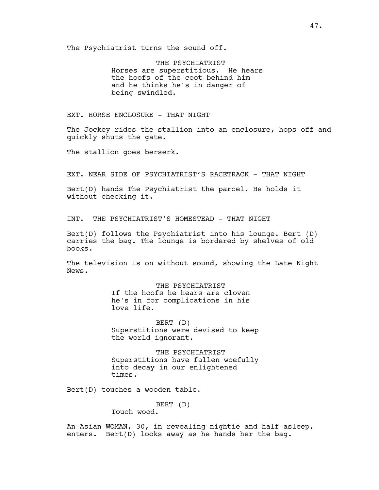The Psychiatrist turns the sound off.

THE PSYCHIATRIST Horses are superstitious. He hears the hoofs of the coot behind him and he thinks he's in danger of being swindled.

EXT. HORSE ENCLOSURE - THAT NIGHT

The Jockey rides the stallion into an enclosure, hops off and quickly shuts the gate.

The stallion goes berserk.

EXT. NEAR SIDE OF PSYCHIATRIST'S RACETRACK - THAT NIGHT

Bert(D) hands The Psychiatrist the parcel. He holds it without checking it.

INT. THE PSYCHIATRIST'S HOMESTEAD - THAT NIGHT

Bert(D) follows the Psychiatrist into his lounge. Bert (D) carries the bag. The lounge is bordered by shelves of old books.

The television is on without sound, showing the Late Night News.

> THE PSYCHIATRIST If the hoofs he hears are cloven he's in for complications in his love life.

BERT (D) Superstitions were devised to keep the world ignorant.

THE PSYCHIATRIST Superstitions have fallen woefully into decay in our enlightened times.

Bert(D) touches a wooden table.

BERT (D) Touch wood.

An Asian WOMAN, 30, in revealing nightie and half asleep, enters. Bert(D) looks away as he hands her the bag.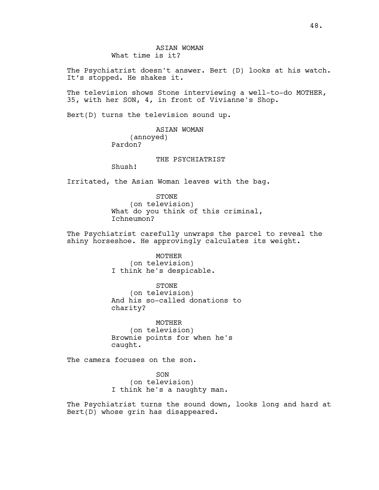The Psychiatrist doesn't answer. Bert (D) looks at his watch. It's stopped. He shakes it.

The television shows Stone interviewing a well-to-do MOTHER, 35, with her SON, 4, in front of Vivianne's Shop.

Bert(D) turns the television sound up.

ASIAN WOMAN (annoyed) Pardon?

## THE PSYCHIATRIST

Shush!

Irritated, the Asian Woman leaves with the bag.

STONE (on television) What do you think of this criminal, Ichneumon?

The Psychiatrist carefully unwraps the parcel to reveal the shiny horseshoe. He approvingly calculates its weight.

> MOTHER (on television) I think he's despicable.

STONE (on television) And his so-called donations to charity?

MOTHER (on television) Brownie points for when he's caught.

The camera focuses on the son.

SON (on television) I think he's a naughty man.

The Psychiatrist turns the sound down, looks long and hard at Bert(D) whose grin has disappeared.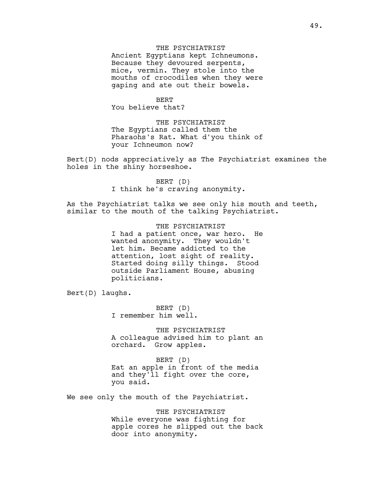# THE PSYCHIATRIST

Ancient Egyptians kept Ichneumons. Because they devoured serpents, mice, vermin. They stole into the mouths of crocodiles when they were gaping and ate out their bowels.

BERT

You believe that?

THE PSYCHIATRIST The Egyptians called them the Pharaohs's Rat. What d'you think of your Ichneumon now?

Bert(D) nods appreciatively as The Psychiatrist examines the holes in the shiny horseshoe.

> BERT (D) I think he's craving anonymity.

As the Psychiatrist talks we see only his mouth and teeth, similar to the mouth of the talking Psychiatrist.

> THE PSYCHIATRIST I had a patient once, war hero. He wanted anonymity. They wouldn't let him. Became addicted to the attention, lost sight of reality. Started doing silly things. Stood outside Parliament House, abusing politicians.

Bert(D) laughs.

BERT (D) I remember him well.

THE PSYCHIATRIST A colleague advised him to plant an orchard. Grow apples.

BERT (D) Eat an apple in front of the media and they'll fight over the core, you said.

We see only the mouth of the Psychiatrist.

THE PSYCHIATRIST While everyone was fighting for apple cores he slipped out the back door into anonymity.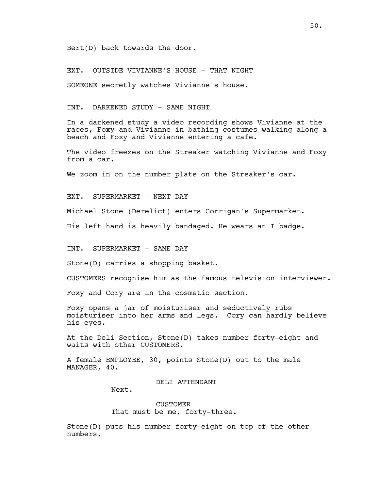Bert(D) back towards the door.

EXT. OUTSIDE VIVIANNE'S HOUSE - THAT NIGHT SOMEONE secretly watches Vivianne's house.

INT. DARKENED STUDY - SAME NIGHT

In a darkened study a video recording shows Vivianne at the races, Foxy and Vivianne in bathing costumes walking along a beach and Foxy and Vivianne entering a cafe.

The video freezes on the Streaker watching Vivianne and Foxy from a car.

We zoom in on the number plate on the Streaker's car.

EXT. SUPERMARKET - NEXT DAY

Michael Stone (Derelict) enters Corrigan's Supermarket.

His left hand is heavily bandaged. He wears an I badge.

INT. SUPERMARKET - SAME DAY

Stone(D) carries a shopping basket.

CUSTOMERS recognise him as the famous television interviewer.

Foxy and Cory are in the cosmetic section.

Foxy opens a jar of moisturiser and seductively rubs moisturiser into her arms and legs. Cory can hardly believe his eyes.

At the Deli Section, Stone(D) takes number forty-eight and waits with other CUSTOMERS.

A female EMPLOYEE, 30, points Stone(D) out to the male MANAGER, 40.

DELI ATTENDANT

Next.

CUSTOMER That must be me, forty-three.

Stone(D) puts his number forty-eight on top of the other numbers.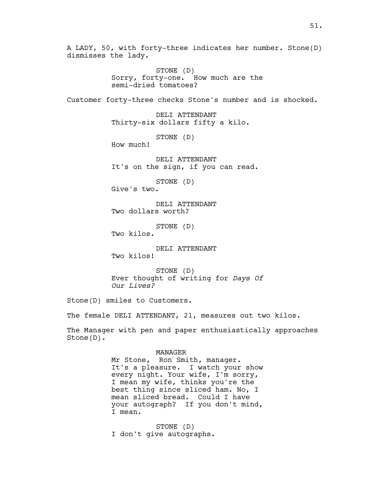A LADY, 50, with forty-three indicates her number. Stone(D) dismisses the lady.

> STONE (D) Sorry, forty-one. How much are the semi-dried tomatoes?

Customer forty-three checks Stone's number and is shocked.

DELI ATTENDANT Thirty-six dollars fifty a kilo.

STONE (D)

How much!

DELI ATTENDANT It's on the sign, if you can read.

STONE (D)

Give's two.

DELI ATTENDANT Two dollars worth?

STONE (D) Two kilos.

DELI ATTENDANT Two kilos!

STONE (D) Ever thought of writing for Days Of Our Lives?

Stone(D) smiles to Customers.

The female DELI ATTENDANT, 21, measures out two kilos.

The Manager with pen and paper enthusiastically approaches Stone(D).

#### MANAGER

Mr Stone, Ron Smith, manager. It's a pleasure. I watch your show every night. Your wife, I'm sorry, I mean my wife, thinks you're the best thing since sliced ham. No, I mean sliced bread. Could I have your autograph? If you don't mind, I mean.

STONE (D) I don't give autographs.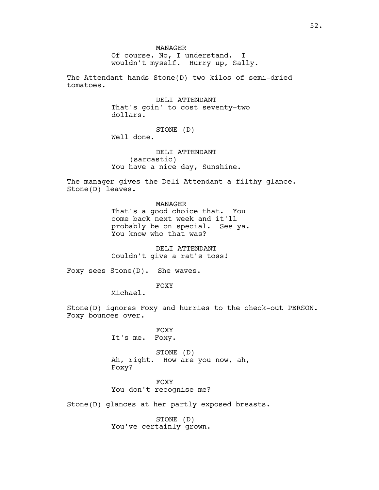MANAGER

Of course. No, I understand. I wouldn't myself. Hurry up, Sally.

The Attendant hands Stone(D) two kilos of semi-dried tomatoes.

> DELI ATTENDANT That's goin' to cost seventy-two dollars.

STONE (D) Well done.

DELI ATTENDANT (sarcastic) You have a nice day, Sunshine.

The manager gives the Deli Attendant a filthy glance. Stone(D) leaves.

> MANAGER That's a good choice that. You come back next week and it'll probably be on special. See ya. You know who that was?

DELI ATTENDANT Couldn't give a rat's toss!

Foxy sees Stone(D). She waves.

FOXY

Michael.

Stone(D) ignores Foxy and hurries to the check-out PERSON. Foxy bounces over.

> FOXY It's me. Foxy.

STONE (D) Ah, right. How are you now, ah, Foxy?

FOXY You don't recognise me?

Stone(D) glances at her partly exposed breasts.

STONE (D) You've certainly grown.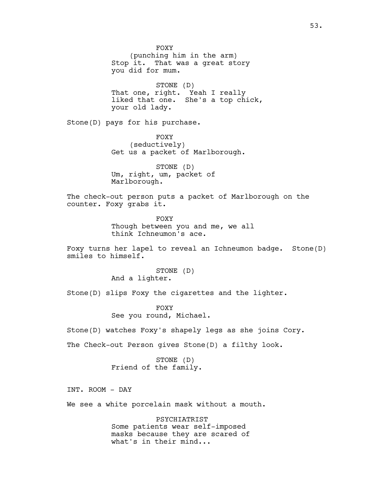FOXY (punching him in the arm) Stop it. That was a great story you did for mum. STONE (D) That one, right. Yeah I really liked that one. She's a top chick, your old lady. Stone(D) pays for his purchase. FOXY (seductively) Get us a packet of Marlborough. STONE (D) Um, right, um, packet of Marlborough. The check-out person puts a packet of Marlborough on the counter. Foxy grabs it. FOXY Though between you and me, we all think Ichneumon's ace. Foxy turns her lapel to reveal an Ichneumon badge. Stone(D) smiles to himself. STONE (D) And a lighter. Stone(D) slips Foxy the cigarettes and the lighter. **FOXY** See you round, Michael. Stone(D) watches Foxy's shapely legs as she joins Cory. The Check-out Person gives Stone(D) a filthy look. STONE (D) Friend of the family. INT. ROOM - DAY We see a white porcelain mask without a mouth. PSYCHIATRIST

Some patients wear self-imposed masks because they are scared of what's in their mind...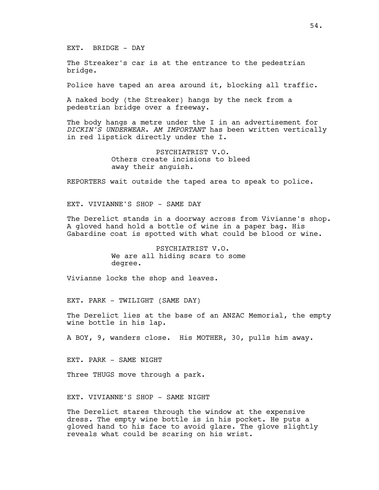EXT. BRIDGE - DAY

The Streaker's car is at the entrance to the pedestrian bridge.

Police have taped an area around it, blocking all traffic.

A naked body (the Streaker) hangs by the neck from a pedestrian bridge over a freeway.

The body hangs a metre under the I in an advertisement for DICKIN'S UNDERWEAR. AM IMPORTANT has been written vertically in red lipstick directly under the I.

> PSYCHIATRIST V.O. Others create incisions to bleed away their anguish.

REPORTERS wait outside the taped area to speak to police.

EXT. VIVIANNE'S SHOP - SAME DAY

The Derelict stands in a doorway across from Vivianne's shop. A gloved hand hold a bottle of wine in a paper bag. His Gabardine coat is spotted with what could be blood or wine.

> PSYCHIATRIST V.O. We are all hiding scars to some degree.

Vivianne locks the shop and leaves.

EXT. PARK - TWILIGHT (SAME DAY)

The Derelict lies at the base of an ANZAC Memorial, the empty wine bottle in his lap.

A BOY, 9, wanders close. His MOTHER, 30, pulls him away.

EXT. PARK - SAME NIGHT

Three THUGS move through a park.

EXT. VIVIANNE'S SHOP - SAME NIGHT

The Derelict stares through the window at the expensive dress. The empty wine bottle is in his pocket. He puts a gloved hand to his face to avoid glare. The glove slightly reveals what could be scaring on his wrist.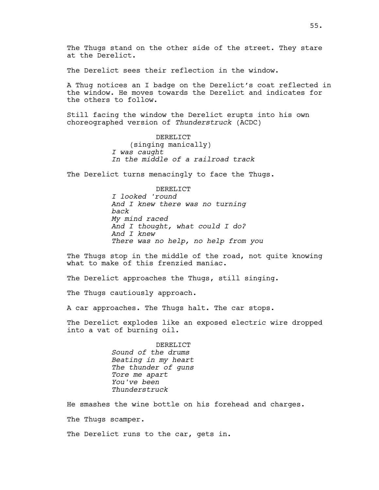The Derelict sees their reflection in the window.

A Thug notices an I badge on the Derelict's coat reflected in the window. He moves towards the Derelict and indicates for the others to follow.

Still facing the window the Derelict erupts into his own choreographed version of Thunderstruck (ACDC)

> DERELICT (singing manically) I was caught In the middle of a railroad track

The Derelict turns menacingly to face the Thugs.

DERELICT I looked 'round And I knew there was no turning back My mind raced And I thought, what could I do? And I knew There was no help, no help from you

The Thugs stop in the middle of the road, not quite knowing what to make of this frenzied maniac.

The Derelict approaches the Thugs, still singing.

The Thugs cautiously approach.

A car approaches. The Thugs halt. The car stops.

The Derelict explodes like an exposed electric wire dropped into a vat of burning oil.

> DERELICT Sound of the drums Beating in my heart The thunder of guns Tore me apart You've been Thunderstruck

He smashes the wine bottle on his forehead and charges. The Thugs scamper.

The Derelict runs to the car, gets in.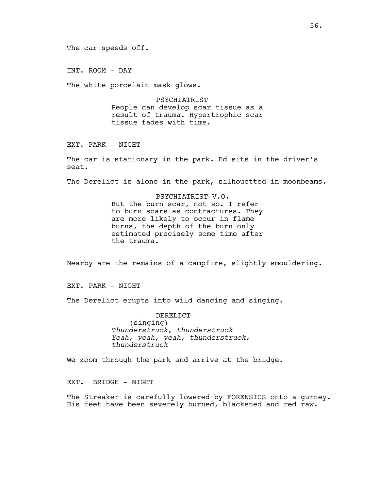The car speeds off.

INT. ROOM - DAY

The white porcelain mask glows.

PSYCHIATRIST People can develop scar tissue as a result of trauma. Hypertrophic scar tissue fades with time.

EXT. PARK - NIGHT

The car is stationary in the park. Ed sits in the driver's seat.

The Derelict is alone in the park, silhouetted in moonbeams.

PSYCHIATRIST V.O. But the burn scar, not so. I refer to burn scars as contractures. They are more likely to occur in flame burns, the depth of the burn only estimated precisely some time after the trauma.

Nearby are the remains of a campfire, slightly smouldering.

EXT. PARK - NIGHT

The Derelict erupts into wild dancing and singing.

DERELICT (singing) Thunderstruck, thunderstruck Yeah, yeah, yeah, thunderstruck, thunderstruck

We zoom through the park and arrive at the bridge.

EXT. BRIDGE - NIGHT

The Streaker is carefully lowered by FORENSICS onto a gurney. His feet have been severely burned, blackened and red raw.